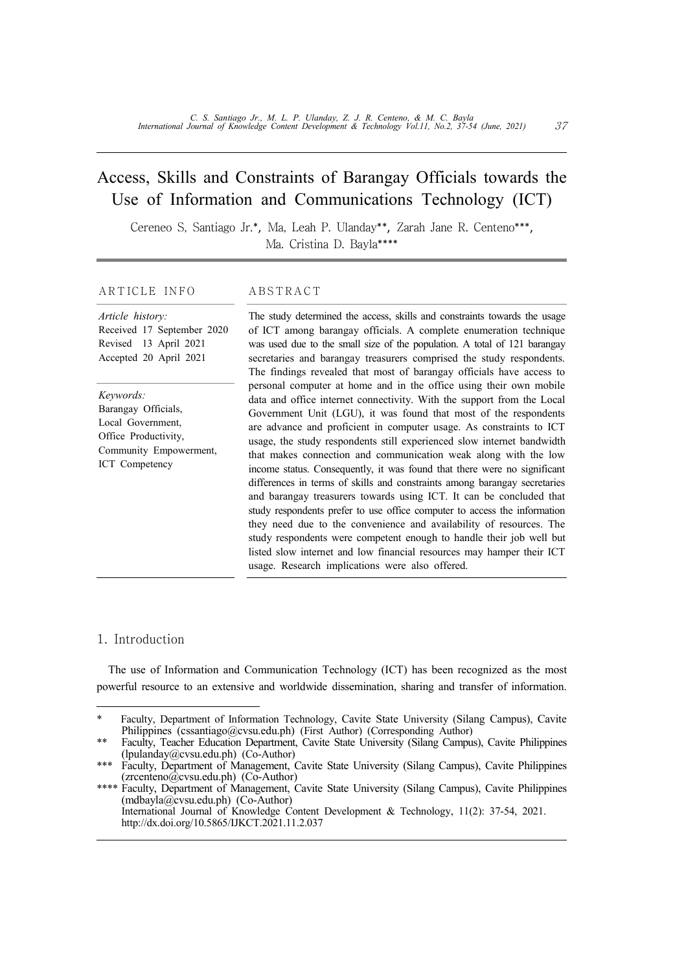### Access, Skills and Constraints of Barangay Officials towards the Use of Information and Communications Technology (ICT)

Cereneo S, Santiago Jr.\*, Ma, Leah P. Ulanday\*\*, Zarah Jane R. Centeno\*\*\*, Ma. Cristina D. Bayla\*\*\*\*

#### ARTICLE INFO ABSTRACT

#### *Article history:* Received 17 September 2020 Revised 13 April 2021 Accepted 20 April 2021

*Keywords:* Barangay Officials, Local Government, Office Productivity, Community Empowerment, ICT Competency

The study determined the access, skills and constraints towards the usage of ICT among barangay officials. A complete enumeration technique was used due to the small size of the population. A total of 121 barangay secretaries and barangay treasurers comprised the study respondents. The findings revealed that most of barangay officials have access to personal computer at home and in the office using their own mobile data and office internet connectivity. With the support from the Local Government Unit (LGU), it was found that most of the respondents are advance and proficient in computer usage. As constraints to ICT usage, the study respondents still experienced slow internet bandwidth that makes connection and communication weak along with the low income status. Consequently, it was found that there were no significant differences in terms of skills and constraints among barangay secretaries and barangay treasurers towards using ICT. It can be concluded that study respondents prefer to use office computer to access the information they need due to the convenience and availability of resources. The study respondents were competent enough to handle their job well but listed slow internet and low financial resources may hamper their ICT usage. Research implications were also offered.

#### 1. Introduction

The use of Information and Communication Technology (ICT) has been recognized as the most powerful resource to an extensive and worldwide dissemination, sharing and transfer of information.

Faculty, Department of Information Technology, Cavite State University (Silang Campus), Cavite Philippines (cssantiago@cvsu.edu.ph) (First Author) (Corresponding Author)

<sup>\*\*</sup> Faculty, Teacher Education Department, Cavite State University (Silang Campus), Cavite Philippines (lpulanday@cvsu.edu.ph) (Co-Author)

Faculty, Department of Management, Cavite State University (Silang Campus), Cavite Philippines (zrcenteno@cvsu.edu.ph) (Co-Author)

<sup>\*\*\*\*</sup> Faculty, Department of Management, Cavite State University (Silang Campus), Cavite Philippines (mdbayla@cvsu.edu.ph) (Co-Author) International Journal of Knowledge Content Development & Technology, 11(2): 37-54, 2021. http://dx.doi.org/10.5865/IJKCT.2021.11.2.037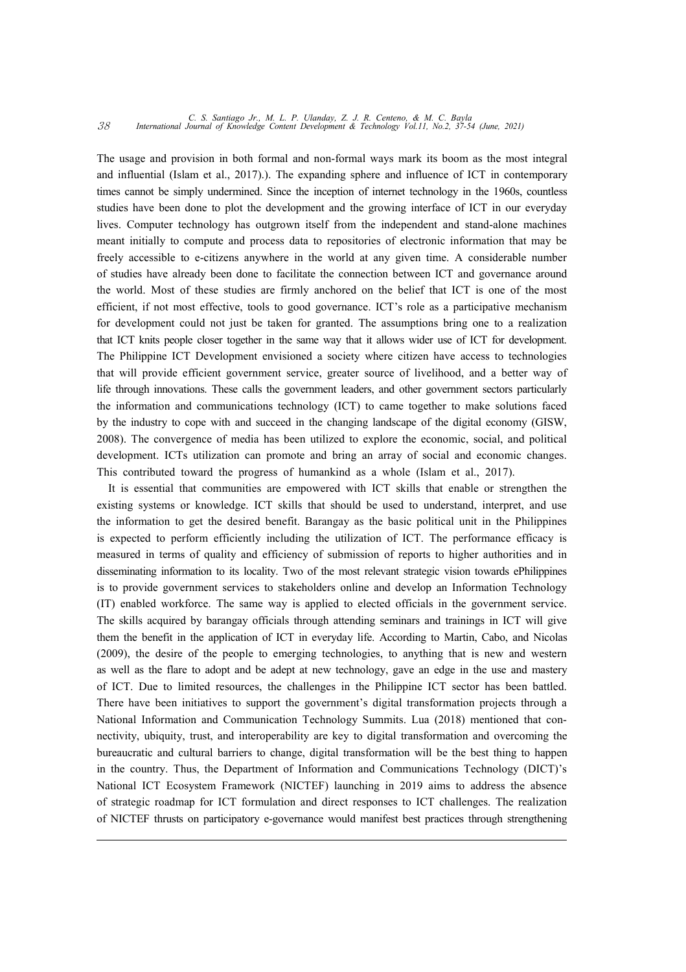# *C. S. Santiago Jr., M. L. P. Ulanday, Z. J. R. Centeno, & M. C. Bayla* <sup>38</sup> *International Journal of Knowledge Content Development & Technology Vol.11, No.2, 37-54 (June, 2021)*

The usage and provision in both formal and non-formal ways mark its boom as the most integral and influential (Islam et al., 2017).). The expanding sphere and influence of ICT in contemporary times cannot be simply undermined. Since the inception of internet technology in the 1960s, countless studies have been done to plot the development and the growing interface of ICT in our everyday lives. Computer technology has outgrown itself from the independent and stand-alone machines meant initially to compute and process data to repositories of electronic information that may be freely accessible to e-citizens anywhere in the world at any given time. A considerable number of studies have already been done to facilitate the connection between ICT and governance around the world. Most of these studies are firmly anchored on the belief that ICT is one of the most efficient, if not most effective, tools to good governance. ICT's role as a participative mechanism for development could not just be taken for granted. The assumptions bring one to a realization that ICT knits people closer together in the same way that it allows wider use of ICT for development. The Philippine ICT Development envisioned a society where citizen have access to technologies that will provide efficient government service, greater source of livelihood, and a better way of life through innovations. These calls the government leaders, and other government sectors particularly the information and communications technology (ICT) to came together to make solutions faced by the industry to cope with and succeed in the changing landscape of the digital economy (GISW, 2008). The convergence of media has been utilized to explore the economic, social, and political development. ICTs utilization can promote and bring an array of social and economic changes. This contributed toward the progress of humankind as a whole (Islam et al., 2017).

It is essential that communities are empowered with ICT skills that enable or strengthen the existing systems or knowledge. ICT skills that should be used to understand, interpret, and use the information to get the desired benefit. Barangay as the basic political unit in the Philippines is expected to perform efficiently including the utilization of ICT. The performance efficacy is measured in terms of quality and efficiency of submission of reports to higher authorities and in disseminating information to its locality. Two of the most relevant strategic vision towards ePhilippines is to provide government services to stakeholders online and develop an Information Technology (IT) enabled workforce. The same way is applied to elected officials in the government service. The skills acquired by barangay officials through attending seminars and trainings in ICT will give them the benefit in the application of ICT in everyday life. According to Martin, Cabo, and Nicolas (2009), the desire of the people to emerging technologies, to anything that is new and western as well as the flare to adopt and be adept at new technology, gave an edge in the use and mastery of ICT. Due to limited resources, the challenges in the Philippine ICT sector has been battled. There have been initiatives to support the government's digital transformation projects through a National Information and Communication Technology Summits. Lua (2018) mentioned that con nectivity, ubiquity, trust, and interoperability are key to digital transformation and overcoming the bureaucratic and cultural barriers to change, digital transformation will be the best thing to happen in the country. Thus, the Department of Information and Communications Technology (DICT)'s National ICT Ecosystem Framework (NICTEF) launching in 2019 aims to address the absence of strategic roadmap for ICT formulation and direct responses to ICT challenges. The realization of NICTEF thrusts on participatory e-governance would manifest best practices through strengthening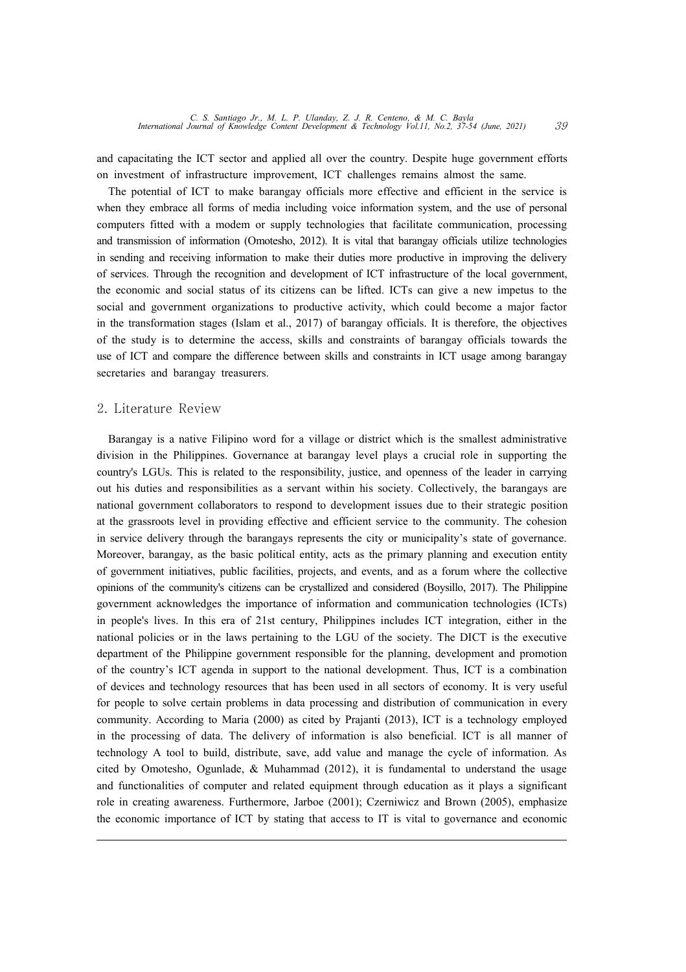and capacitating the ICT sector and applied all over the country. Despite huge government efforts on investment of infrastructure improvement, ICT challenges remains almost the same.

The potential of ICT to make barangay officials more effective and efficient in the service is when they embrace all forms of media including voice information system, and the use of personal computers fitted with a modem or supply technologies that facilitate communication, processing and transmission of information (Omotesho, 2012). It is vital that barangay officials utilize technologies in sending and receiving information to make their duties more productive in improving the delivery of services. Through the recognition and development of ICT infrastructure of the local government, the economic and social status of its citizens can be lifted. ICTs can give a new impetus to the social and government organizations to productive activity, which could become a major factor in the transformation stages (Islam et al., 2017) of barangay officials. It is therefore, the objectives of the study is to determine the access, skills and constraints of barangay officials towards the use of ICT and compare the difference between skills and constraints in ICT usage among barangay secretaries and barangay treasurers.

#### 2. Literature Review

Barangay is a native Filipino word for a village or district which is the smallest administrative division in the Philippines. Governance at barangay level plays a crucial role in supporting the country's LGUs. This is related to the responsibility, justice, and openness of the leader in carrying out his duties and responsibilities as a servant within his society. Collectively, the barangays are national government collaborators to respond to development issues due to their strategic position at the grassroots level in providing effective and efficient service to the community. The cohesion in service delivery through the barangays represents the city or municipality's state of governance. Moreover, barangay, as the basic political entity, acts as the primary planning and execution entity of government initiatives, public facilities, projects, and events, and as a forum where the collective opinions of the community's citizens can be crystallized and considered (Boysillo, 2017). The Philippine government acknowledges the importance of information and communication technologies (ICTs) in people's lives. In this era of 21st century, Philippines includes ICT integration, either in the national policies or in the laws pertaining to the LGU of the society. The DICT is the executive department of the Philippine government responsible for the planning, development and promotion of the country's ICT agenda in support to the national development. Thus, ICT is a combination of devices and technology resources that has been used in all sectors of economy. It is very useful for people to solve certain problems in data processing and distribution of communication in every community. According to Maria (2000) as cited by Prajanti (2013), ICT is a technology employed in the processing of data. The delivery of information is also beneficial. ICT is all manner of technology A tool to build, distribute, save, add value and manage the cycle of information. As cited by Omotesho, Ogunlade, & Muhammad (2012), it is fundamental to understand the usage and functionalities of computer and related equipment through education as it plays a significant role in creating awareness. Furthermore, Jarboe (2001); Czerniwicz and Brown (2005), emphasize the economic importance of ICT by stating that access to IT is vital to governance and economic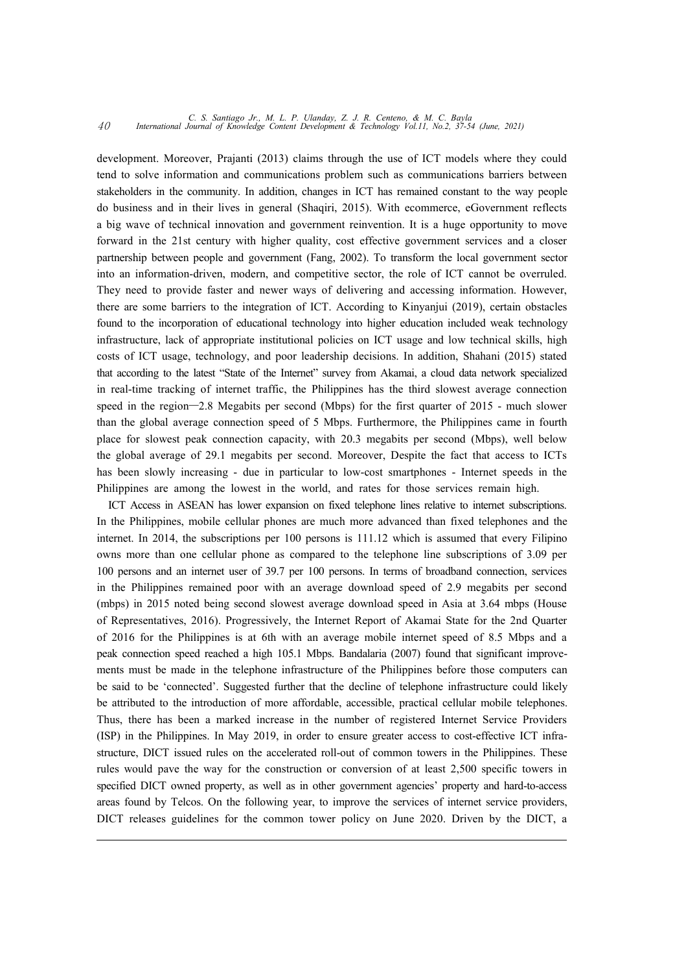## *C. S. Santiago Jr., M. L. P. Ulanday, Z. J. R. Centeno, & M. C. Bayla* <sup>40</sup> *International Journal of Knowledge Content Development & Technology Vol.11, No.2, 37-54 (June, 2021)*

development. Moreover, Prajanti (2013) claims through the use of ICT models where they could tend to solve information and communications problem such as communications barriers between stakeholders in the community. In addition, changes in ICT has remained constant to the way people do business and in their lives in general (Shaqiri, 2015). With ecommerce, eGovernment reflects a big wave of technical innovation and government reinvention. It is a huge opportunity to move forward in the 21st century with higher quality, cost effective government services and a closer partnership between people and government (Fang, 2002). To transform the local government sector into an information-driven, modern, and competitive sector, the role of ICT cannot be overruled. They need to provide faster and newer ways of delivering and accessing information. However, there are some barriers to the integration of ICT. According to Kinyanjui (2019), certain obstacles found to the incorporation of educational technology into higher education included weak technology infrastructure, lack of appropriate institutional policies on ICT usage and low technical skills, high costs of ICT usage, technology, and poor leadership decisions. In addition, Shahani (2015) stated that according to the latest "State of the Internet" survey from Akamai, a cloud data network specialized in real-time tracking of internet traffic, the Philippines has the third slowest average connection speed in the region—2.8 Megabits per second (Mbps) for the first quarter of 2015 - much slower than the global average connection speed of 5 Mbps. Furthermore, the Philippines came in fourth place for slowest peak connection capacity, with 20.3 megabits per second (Mbps), well below the global average of 29.1 megabits per second. Moreover, Despite the fact that access to ICTs has been slowly increasing - due in particular to low-cost smartphones - Internet speeds in the Philippines are among the lowest in the world, and rates for those services remain high.

ICT Access in ASEAN has lower expansion on fixed telephone lines relative to internet subscriptions. In the Philippines, mobile cellular phones are much more advanced than fixed telephones and the internet. In 2014, the subscriptions per 100 persons is 111.12 which is assumed that every Filipino owns more than one cellular phone as compared to the telephone line subscriptions of 3.09 per 100 persons and an internet user of 39.7 per 100 persons. In terms of broadband connection, services in the Philippines remained poor with an average download speed of 2.9 megabits per second (mbps) in 2015 noted being second slowest average download speed in Asia at 3.64 mbps (House of Representatives, 2016). Progressively, the Internet Report of Akamai State for the 2nd Quarter of 2016 for the Philippines is at 6th with an average mobile internet speed of 8.5 Mbps and a peak connection speed reached a high 105.1 Mbps. Bandalaria (2007) found that significant improve ments must be made in the telephone infrastructure of the Philippines before those computers can be said to be 'connected'. Suggested further that the decline of telephone infrastructure could likely be attributed to the introduction of more affordable, accessible, practical cellular mobile telephones. Thus, there has been a marked increase in the number of registered Internet Service Providers (ISP) in the Philippines. In May 2019, in order to ensure greater access to cost-effective ICT infra structure, DICT issued rules on the accelerated roll-out of common towers in the Philippines. These rules would pave the way for the construction or conversion of at least 2,500 specific towers in specified DICT owned property, as well as in other government agencies' property and hard-to-access areas found by Telcos. On the following year, to improve the services of internet service providers, DICT releases guidelines for the common tower policy on June 2020. Driven by the DICT, a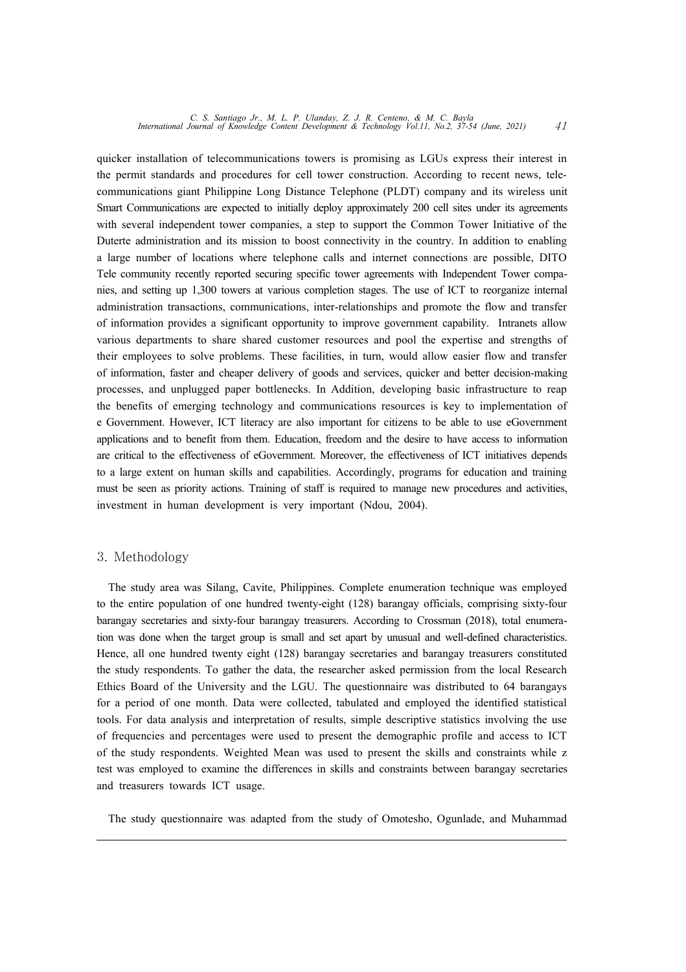quicker installation of telecommunications towers is promising as LGUs express their interest in the permit standards and procedures for cell tower construction. According to recent news, tele communications giant Philippine Long Distance Telephone (PLDT) company and its wireless unit Smart Communications are expected to initially deploy approximately 200 cell sites under its agreements with several independent tower companies, a step to support the Common Tower Initiative of the Duterte administration and its mission to boost connectivity in the country. In addition to enabling a large number of locations where telephone calls and internet connections are possible, DITO Tele community recently reported securing specific tower agreements with Independent Tower compa nies, and setting up 1,300 towers at various completion stages. The use of ICT to reorganize internal administration transactions, communications, inter-relationships and promote the flow and transfer of information provides a significant opportunity to improve government capability. Intranets allow various departments to share shared customer resources and pool the expertise and strengths of their employees to solve problems. These facilities, in turn, would allow easier flow and transfer of information, faster and cheaper delivery of goods and services, quicker and better decision-making processes, and unplugged paper bottlenecks. In Addition, developing basic infrastructure to reap the benefits of emerging technology and communications resources is key to implementation of e Government. However, ICT literacy are also important for citizens to be able to use eGovernment applications and to benefit from them. Education, freedom and the desire to have access to information are critical to the effectiveness of eGovernment. Moreover, the effectiveness of ICT initiatives depends to a large extent on human skills and capabilities. Accordingly, programs for education and training must be seen as priority actions. Training of staff is required to manage new procedures and activities, investment in human development is very important (Ndou, 2004).

#### 3. Methodology

The study area was Silang, Cavite, Philippines. Complete enumeration technique was employed to the entire population of one hundred twenty-eight (128) barangay officials, comprising sixty-four barangay secretaries and sixty-four barangay treasurers. According to Crossman (2018), total enumeration was done when the target group is small and set apart by unusual and well-defined characteristics. Hence, all one hundred twenty eight (128) barangay secretaries and barangay treasurers constituted the study respondents. To gather the data, the researcher asked permission from the local Research Ethics Board of the University and the LGU. The questionnaire was distributed to 64 barangays for a period of one month. Data were collected, tabulated and employed the identified statistical tools. For data analysis and interpretation of results, simple descriptive statistics involving the use of frequencies and percentages were used to present the demographic profile and access to ICT of the study respondents. Weighted Mean was used to present the skills and constraints while z test was employed to examine the differences in skills and constraints between barangay secretaries and treasurers towards ICT usage.

The study questionnaire was adapted from the study of Omotesho, Ogunlade, and Muhammad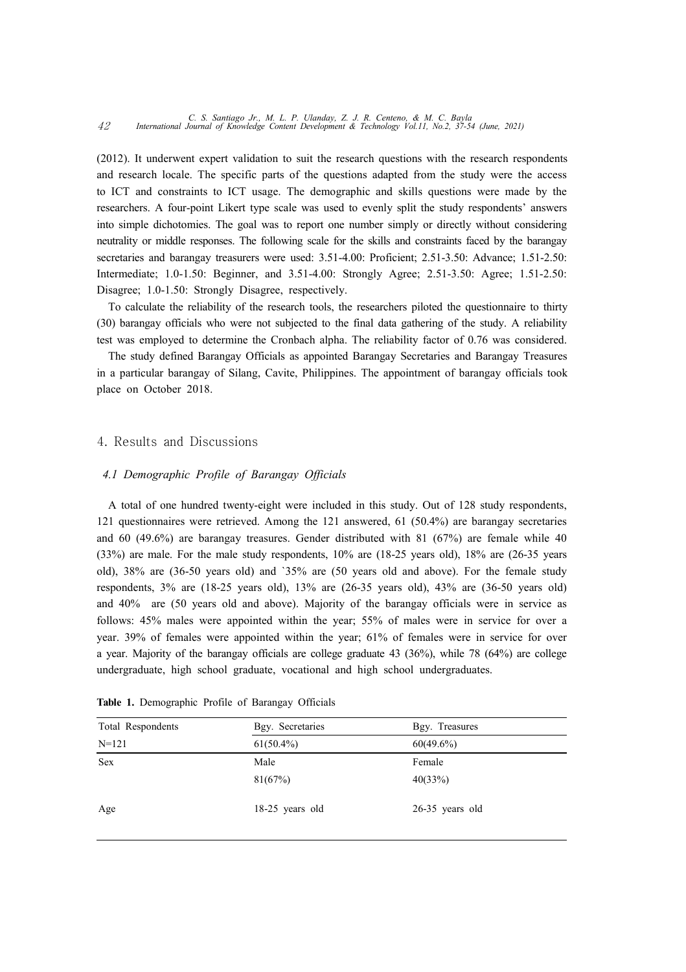(2012). It underwent expert validation to suit the research questions with the research respondents and research locale. The specific parts of the questions adapted from the study were the access to ICT and constraints to ICT usage. The demographic and skills questions were made by the researchers. A four-point Likert type scale was used to evenly split the study respondents' answers into simple dichotomies. The goal was to report one number simply or directly without considering neutrality or middle responses. The following scale for the skills and constraints faced by the barangay secretaries and barangay treasurers were used: 3.51-4.00: Proficient; 2.51-3.50: Advance; 1.51-2.50: Intermediate; 1.0-1.50: Beginner, and 3.51-4.00: Strongly Agree; 2.51-3.50: Agree; 1.51-2.50: Disagree; 1.0-1.50: Strongly Disagree, respectively.

To calculate the reliability of the research tools, the researchers piloted the questionnaire to thirty (30) barangay officials who were not subjected to the final data gathering of the study. A reliability test was employed to determine the Cronbach alpha. The reliability factor of 0.76 was considered.

The study defined Barangay Officials as appointed Barangay Secretaries and Barangay Treasures in a particular barangay of Silang, Cavite, Philippines. The appointment of barangay officials took place on October 2018.

#### 4. Results and Discussions

#### *4.1 Demographic Profile of Barangay Officials*

A total of one hundred twenty-eight were included in this study. Out of 128 study respondents, 121 questionnaires were retrieved. Among the 121 answered, 61 (50.4%) are barangay secretaries and 60 (49.6%) are barangay treasures. Gender distributed with 81 (67%) are female while 40 (33%) are male. For the male study respondents, 10% are (18-25 years old), 18% are (26-35 years old), 38% are (36-50 years old) and `35% are (50 years old and above). For the female study respondents, 3% are (18-25 years old), 13% are (26-35 years old), 43% are (36-50 years old) and 40% are (50 years old and above). Majority of the barangay officials were in service as follows: 45% males were appointed within the year; 55% of males were in service for over a year. 39% of females were appointed within the year; 61% of females were in service for over a year. Majority of the barangay officials are college graduate 43 (36%), while 78 (64%) are college undergraduate, high school graduate, vocational and high school undergraduates.

| Total Respondents | Bgy. Secretaries | Bgy. Treasures    |  |
|-------------------|------------------|-------------------|--|
| $N = 121$         | $61(50.4\%)$     | $60(49.6\%)$      |  |
| <b>Sex</b>        | Male             | Female            |  |
|                   | 81(67%)          | 40(33%)           |  |
| Age               | 18-25 years old  | $26-35$ years old |  |

**Table 1.** Demographic Profile of Barangay Officials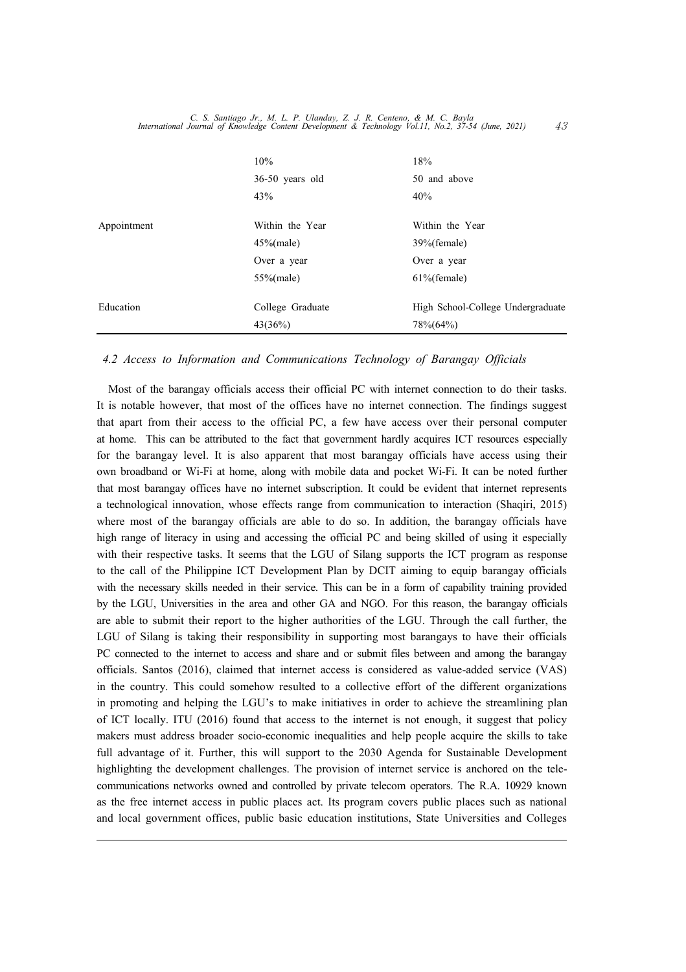|             | 10%              | 18%                               |
|-------------|------------------|-----------------------------------|
|             | 36-50 years old  | 50 and above                      |
|             | 43%              | 40%                               |
| Appointment | Within the Year  | Within the Year                   |
|             | $45\%$ (male)    | 39%(female)                       |
|             | Over a year      | Over a year                       |
|             | $55\%$ (male)    | $61\%$ (female)                   |
| Education   | College Graduate | High School-College Undergraduate |
|             | 43(36%)          | 78%(64%)                          |

#### *4.2 Access to Information and Communications Technology of Barangay Officials*

Most of the barangay officials access their official PC with internet connection to do their tasks. It is notable however, that most of the offices have no internet connection. The findings suggest that apart from their access to the official PC, a few have access over their personal computer at home. This can be attributed to the fact that government hardly acquires ICT resources especially for the barangay level. It is also apparent that most barangay officials have access using their own broadband or Wi-Fi at home, along with mobile data and pocket Wi-Fi. It can be noted further that most barangay offices have no internet subscription. It could be evident that internet represents a technological innovation, whose effects range from communication to interaction (Shaqiri, 2015) where most of the barangay officials are able to do so. In addition, the barangay officials have high range of literacy in using and accessing the official PC and being skilled of using it especially with their respective tasks. It seems that the LGU of Silang supports the ICT program as response to the call of the Philippine ICT Development Plan by DCIT aiming to equip barangay officials with the necessary skills needed in their service. This can be in a form of capability training provided by the LGU, Universities in the area and other GA and NGO. For this reason, the barangay officials are able to submit their report to the higher authorities of the LGU. Through the call further, the LGU of Silang is taking their responsibility in supporting most barangays to have their officials PC connected to the internet to access and share and or submit files between and among the barangay officials. Santos (2016), claimed that internet access is considered as value-added service (VAS) in the country. This could somehow resulted to a collective effort of the different organizations in promoting and helping the LGU's to make initiatives in order to achieve the streamlining plan of ICT locally. ITU (2016) found that access to the internet is not enough, it suggest that policy makers must address broader socio-economic inequalities and help people acquire the skills to take full advantage of it. Further, this will support to the 2030 Agenda for Sustainable Development highlighting the development challenges. The provision of internet service is anchored on the tele communications networks owned and controlled by private telecom operators. The R.A. 10929 known as the free internet access in public places act. Its program covers public places such as national and local government offices, public basic education institutions, State Universities and Colleges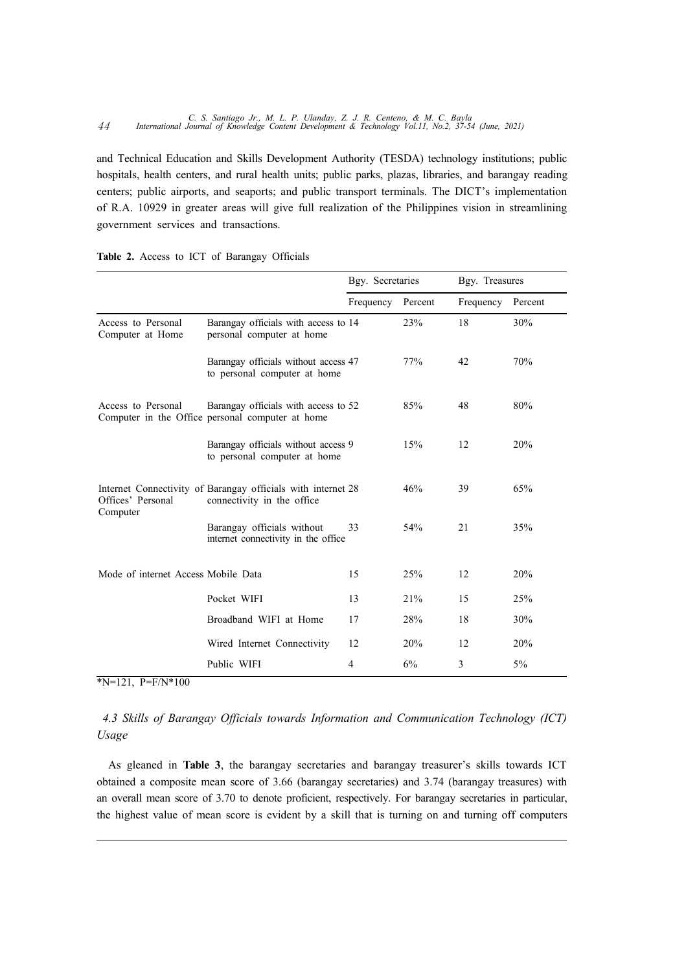and Technical Education and Skills Development Authority (TESDA) technology institutions; public hospitals, health centers, and rural health units; public parks, plazas, libraries, and barangay reading centers; public airports, and seaports; and public transport terminals. The DICT's implementation of R.A. 10929 in greater areas will give full realization of the Philippines vision in streamlining government services and transactions.

|                                        |                                                                                            | Bgy. Secretaries |         | Bgy. Treasures |         |
|----------------------------------------|--------------------------------------------------------------------------------------------|------------------|---------|----------------|---------|
|                                        |                                                                                            | Frequency        | Percent | Frequency      | Percent |
| Access to Personal<br>Computer at Home | Barangay officials with access to 14<br>personal computer at home                          |                  | 23%     | 18             | 30%     |
|                                        | Barangay officials without access 47<br>to personal computer at home                       |                  | 77%     | 42             | 70%     |
| Access to Personal                     | Barangay officials with access to 52<br>Computer in the Office personal computer at home   |                  | 85%     | 48             | 80%     |
|                                        | Barangay officials without access 9<br>to personal computer at home                        |                  | 15%     | 12             | 20%     |
| Offices' Personal<br>Computer          | Internet Connectivity of Barangay officials with internet 28<br>connectivity in the office |                  | 46%     | 39             | 65%     |
|                                        | Barangay officials without<br>internet connectivity in the office                          | 33               | 54%     | 21             | 35%     |
| Mode of internet Access Mobile Data    |                                                                                            | 15               | 25%     | 12             | 20%     |
|                                        | Pocket WIFI                                                                                | 13               | 21%     | 15             | 25%     |
|                                        | Broadband WIFI at Home                                                                     | 17               | 28%     | 18             | 30%     |
|                                        | Wired Internet Connectivity                                                                | 12               | 20%     | 12             | 20%     |
|                                        | Public WIFI                                                                                | 4                | 6%      | 3              | $5\%$   |

#### **Table 2.** Access to ICT of Barangay Officials

 $N=121$ , P=F/N\*100

### *4.3 Skills of Barangay Officials towards Information and Communication Technology (ICT) Usage*

As gleaned in **Table 3**, the barangay secretaries and barangay treasurer's skills towards ICT obtained a composite mean score of 3.66 (barangay secretaries) and 3.74 (barangay treasures) with an overall mean score of 3.70 to denote proficient, respectively. For barangay secretaries in particular, the highest value of mean score is evident by a skill that is turning on and turning off computers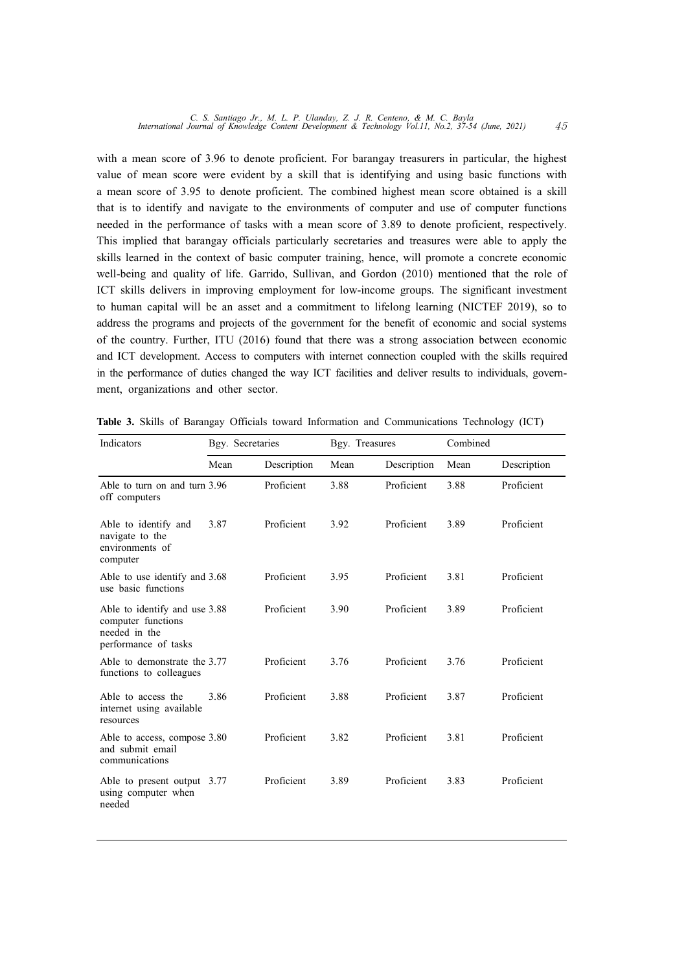with a mean score of 3.96 to denote proficient. For barangay treasurers in particular, the highest value of mean score were evident by a skill that is identifying and using basic functions with a mean score of 3.95 to denote proficient. The combined highest mean score obtained is a skill that is to identify and navigate to the environments of computer and use of computer functions needed in the performance of tasks with a mean score of 3.89 to denote proficient, respectively. This implied that barangay officials particularly secretaries and treasures were able to apply the skills learned in the context of basic computer training, hence, will promote a concrete economic well-being and quality of life. Garrido, Sullivan, and Gordon (2010) mentioned that the role of ICT skills delivers in improving employment for low-income groups. The significant investment to human capital will be an asset and a commitment to lifelong learning (NICTEF 2019), so to address the programs and projects of the government for the benefit of economic and social systems of the country. Further, ITU (2016) found that there was a strong association between economic and ICT development. Access to computers with internet connection coupled with the skills required in the performance of duties changed the way ICT facilities and deliver results to individuals, govern ment, organizations and other sector.

| Indicators                                                                                   | Bgy. Secretaries |             |      | Bgy. Treasures |      |             |
|----------------------------------------------------------------------------------------------|------------------|-------------|------|----------------|------|-------------|
|                                                                                              | Mean             | Description | Mean | Description    | Mean | Description |
| Able to turn on and turn 3.96<br>off computers                                               |                  | Proficient  | 3.88 | Proficient     | 3.88 | Proficient  |
| Able to identify and<br>navigate to the<br>environments of<br>computer                       | 3.87             | Proficient  | 3.92 | Proficient     | 3.89 | Proficient  |
| Able to use identify and 3.68<br>use basic functions                                         |                  | Proficient  | 3.95 | Proficient     | 3.81 | Proficient  |
| Able to identify and use 3.88<br>computer functions<br>needed in the<br>performance of tasks |                  | Proficient  | 3.90 | Proficient     | 3.89 | Proficient  |
| Able to demonstrate the 3.77<br>functions to colleagues                                      |                  | Proficient  | 3.76 | Proficient     | 3.76 | Proficient  |
| Able to access the<br>internet using available<br>resources                                  | 3.86             | Proficient  | 3.88 | Proficient     | 3.87 | Proficient  |
| Able to access, compose 3.80<br>and submit email<br>communications                           |                  | Proficient  | 3.82 | Proficient     | 3.81 | Proficient  |
| Able to present output 3.77<br>using computer when<br>needed                                 |                  | Proficient  | 3.89 | Proficient     | 3.83 | Proficient  |

**Table 3.** Skills of Barangay Officials toward Information and Communications Technology (ICT)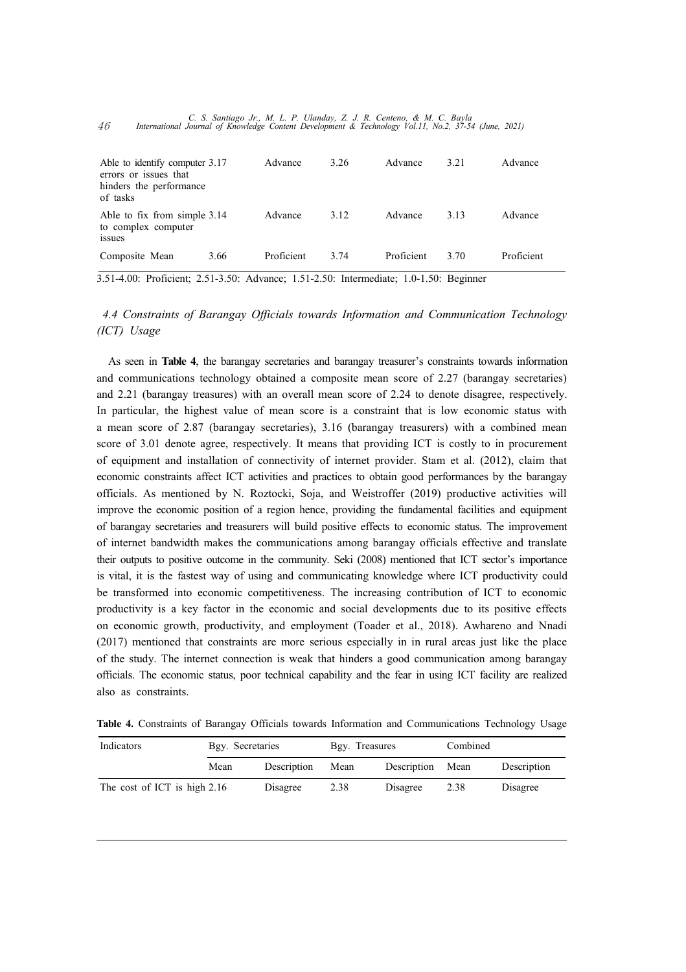| Able to identify computer 3.17<br>errors or issues that<br>hinders the performance<br>of tasks |      | Advance    | 3.26 | Advance    | 3.21 | Advance    |
|------------------------------------------------------------------------------------------------|------|------------|------|------------|------|------------|
| Able to fix from simple 3.14<br>to complex computer<br><i>ssues</i>                            |      | Advance    | 3.12 | Advance    | 3.13 | Advance    |
| Composite Mean                                                                                 | 3.66 | Proficient | 3.74 | Proficient | 3.70 | Proficient |

*C. S. Santiago Jr., M. L. P. Ulanday, Z. J. R. Centeno, & M. C. Bayla* <sup>46</sup> *International Journal of Knowledge Content Development & Technology Vol.11, No.2, 37-54 (June, 2021)*

3.51-4.00: Proficient; 2.51-3.50: Advance; 1.51-2.50: Intermediate; 1.0-1.50: Beginner

*4.4 Constraints of Barangay Officials towards Information and Communication Technology (ICT) Usage*

As seen in **Table 4**, the barangay secretaries and barangay treasurer's constraints towards information and communications technology obtained a composite mean score of 2.27 (barangay secretaries) and 2.21 (barangay treasures) with an overall mean score of 2.24 to denote disagree, respectively. In particular, the highest value of mean score is a constraint that is low economic status with a mean score of 2.87 (barangay secretaries), 3.16 (barangay treasurers) with a combined mean score of 3.01 denote agree, respectively. It means that providing ICT is costly to in procurement of equipment and installation of connectivity of internet provider. Stam et al. (2012), claim that economic constraints affect ICT activities and practices to obtain good performances by the barangay officials. As mentioned by N. Roztocki, Soja, and Weistroffer (2019) productive activities will improve the economic position of a region hence, providing the fundamental facilities and equipment of barangay secretaries and treasurers will build positive effects to economic status. The improvement of internet bandwidth makes the communications among barangay officials effective and translate their outputs to positive outcome in the community. Seki (2008) mentioned that ICT sector's importance is vital, it is the fastest way of using and communicating knowledge where ICT productivity could be transformed into economic competitiveness. The increasing contribution of ICT to economic productivity is a key factor in the economic and social developments due to its positive effects on economic growth, productivity, and employment (Toader et al., 2018). Awhareno and Nnadi (2017) mentioned that constraints are more serious especially in in rural areas just like the place of the study. The internet connection is weak that hinders a good communication among barangay officials. The economic status, poor technical capability and the fear in using ICT facility are realized also as constraints.

**Table 4.** Constraints of Barangay Officials towards Information and Communications Technology Usage

| Indicators                   | Bgy. Secretaries |             | Bgy. Treasures |                  | Combined |             |
|------------------------------|------------------|-------------|----------------|------------------|----------|-------------|
|                              | Mean             | Description | Mean           | Description Mean |          | Description |
| The cost of ICT is high 2.16 |                  | Disagree    | 2.38           | Disagree         | 2.38     | Disagree    |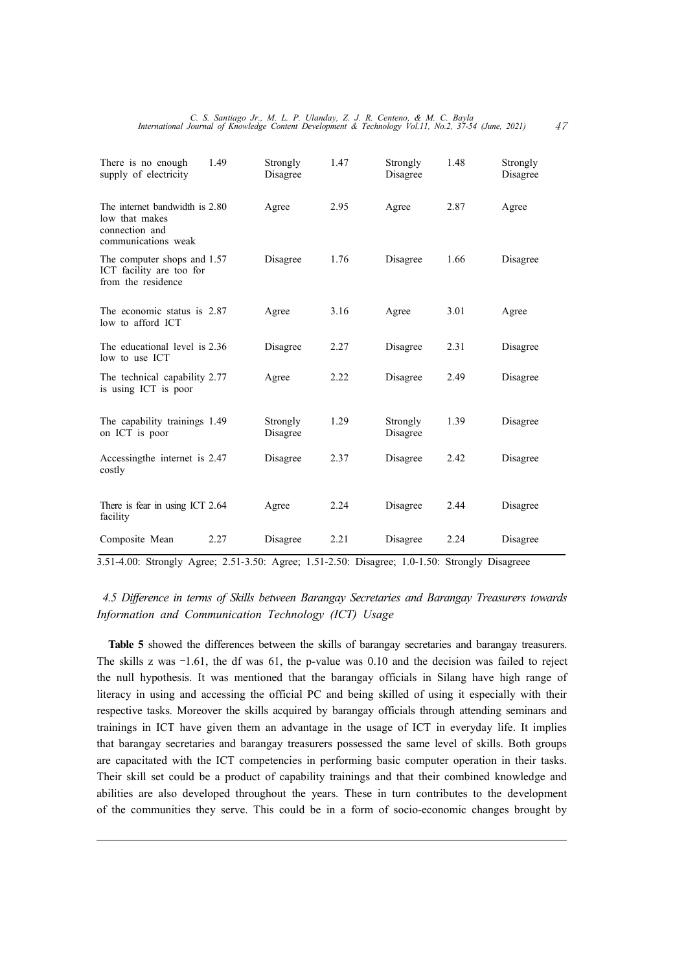*C. S. Santiago Jr., M. L. P. Ulanday, Z. J. R. Centeno, & M. C. Bayla International Journal of Knowledge Content Development & Technology Vol.11, No.2, 37-54 (June, 2021)* 47

| There is no enough<br>supply of electricity                                               | 1.49 | Strongly<br>Disagree | 1.47 | Strongly<br>Disagree | 1.48 | Strongly<br>Disagree |
|-------------------------------------------------------------------------------------------|------|----------------------|------|----------------------|------|----------------------|
| The internet bandwidth is 2.80<br>low that makes<br>connection and<br>communications weak |      | Agree                | 2.95 | Agree                | 2.87 | Agree                |
| The computer shops and 1.57<br>ICT facility are too for<br>from the residence             |      | Disagree             | 1.76 | Disagree             | 1.66 | Disagree             |
| The economic status is 2.87<br>low to afford ICT                                          |      | Agree                | 3.16 | Agree                | 3.01 | Agree                |
| The educational level is 2.36<br>low to use ICT                                           |      | Disagree             | 2.27 | Disagree             | 2.31 | Disagree             |
| The technical capability 2.77<br>is using ICT is poor                                     |      | Agree                | 2.22 | Disagree             | 2.49 | Disagree             |
| The capability trainings 1.49<br>on ICT is poor                                           |      | Strongly<br>Disagree | 1.29 | Strongly<br>Disagree | 1.39 | Disagree             |
| Accessing the internet is 2.47<br>costly                                                  |      | Disagree             | 2.37 | Disagree             | 2.42 | Disagree             |
| There is fear in using ICT 2.64<br>facility                                               |      | Agree                | 2.24 | Disagree             | 2.44 | Disagree             |
| Composite Mean                                                                            | 2.27 | Disagree             | 2.21 | Disagree             | 2.24 | Disagree             |

3.51-4.00: Strongly Agree; 2.51-3.50: Agree; 1.51-2.50: Disagree; 1.0-1.50: Strongly Disagreee

#### *4.5 Difference in terms of Skills between Barangay Secretaries and Barangay Treasurers towards Information and Communication Technology (ICT) Usage*

**Table 5** showed the differences between the skills of barangay secretaries and barangay treasurers. The skills z was  $-1.61$ , the df was  $61$ , the p-value was  $0.10$  and the decision was failed to reject the null hypothesis. It was mentioned that the barangay officials in Silang have high range of literacy in using and accessing the official PC and being skilled of using it especially with their respective tasks. Moreover the skills acquired by barangay officials through attending seminars and trainings in ICT have given them an advantage in the usage of ICT in everyday life. It implies that barangay secretaries and barangay treasurers possessed the same level of skills. Both groups are capacitated with the ICT competencies in performing basic computer operation in their tasks. Their skill set could be a product of capability trainings and that their combined knowledge and abilities are also developed throughout the years. These in turn contributes to the development of the communities they serve. This could be in a form of socio-economic changes brought by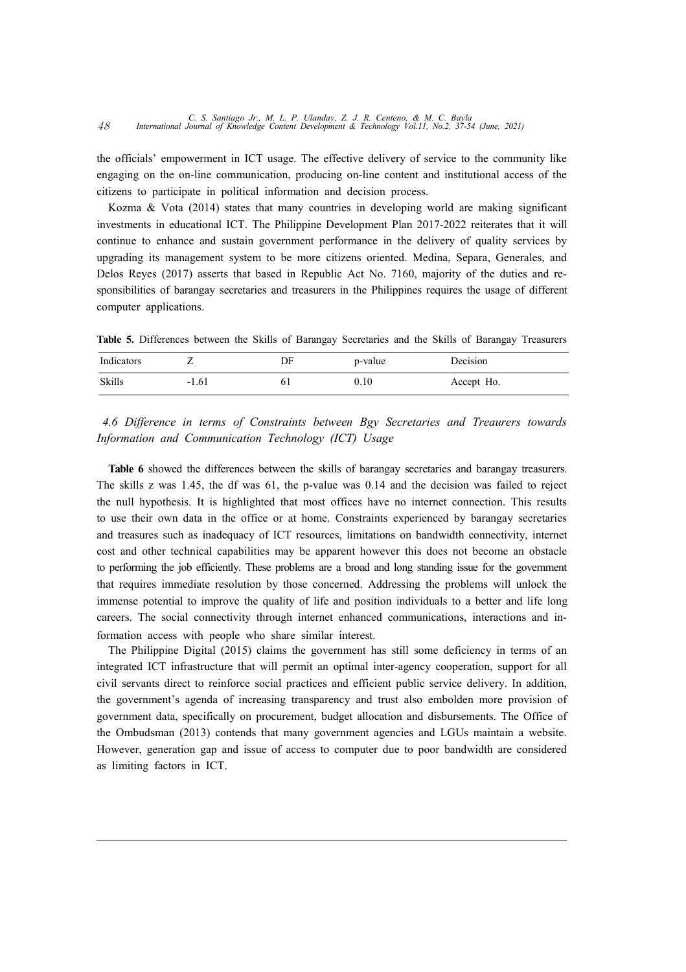the officials' empowerment in ICT usage. The effective delivery of service to the community like engaging on the on-line communication, producing on-line content and institutional access of the citizens to participate in political information and decision process.

Kozma & Vota (2014) states that many countries in developing world are making significant investments in educational ICT. The Philippine Development Plan 2017-2022 reiterates that it will continue to enhance and sustain government performance in the delivery of quality services by upgrading its management system to be more citizens oriented. Medina, Separa, Generales, and Delos Reyes (2017) asserts that based in Republic Act No. 7160, majority of the duties and re sponsibilities of barangay secretaries and treasurers in the Philippines requires the usage of different computer applications.

**Table 5.** Differences between the Skills of Barangay Secretaries and the Skills of Barangay Treasurers

| Indicators    |         | DF | p-value | Decision   |
|---------------|---------|----|---------|------------|
| <b>Skills</b> | $-1.61$ | 61 | 0.10    | Accept Ho. |

*4.6 Difference in terms of Constraints between Bgy Secretaries and Treaurers towards Information and Communication Technology (ICT) Usage*

**Table 6** showed the differences between the skills of barangay secretaries and barangay treasurers. The skills z was 1.45, the df was 61, the p-value was 0.14 and the decision was failed to reject the null hypothesis. It is highlighted that most offices have no internet connection. This results to use their own data in the office or at home. Constraints experienced by barangay secretaries and treasures such as inadequacy of ICT resources, limitations on bandwidth connectivity, internet cost and other technical capabilities may be apparent however this does not become an obstacle to performing the job efficiently. These problems are a broad and long standing issue for the government that requires immediate resolution by those concerned. Addressing the problems will unlock the immense potential to improve the quality of life and position individuals to a better and life long careers. The social connectivity through internet enhanced communications, interactions and information access with people who share similar interest.

The Philippine Digital (2015) claims the government has still some deficiency in terms of an integrated ICT infrastructure that will permit an optimal inter-agency cooperation, support for all civil servants direct to reinforce social practices and efficient public service delivery. In addition, the government's agenda of increasing transparency and trust also embolden more provision of government data, specifically on procurement, budget allocation and disbursements. The Office of the Ombudsman (2013) contends that many government agencies and LGUs maintain a website. However, generation gap and issue of access to computer due to poor bandwidth are considered as limiting factors in ICT.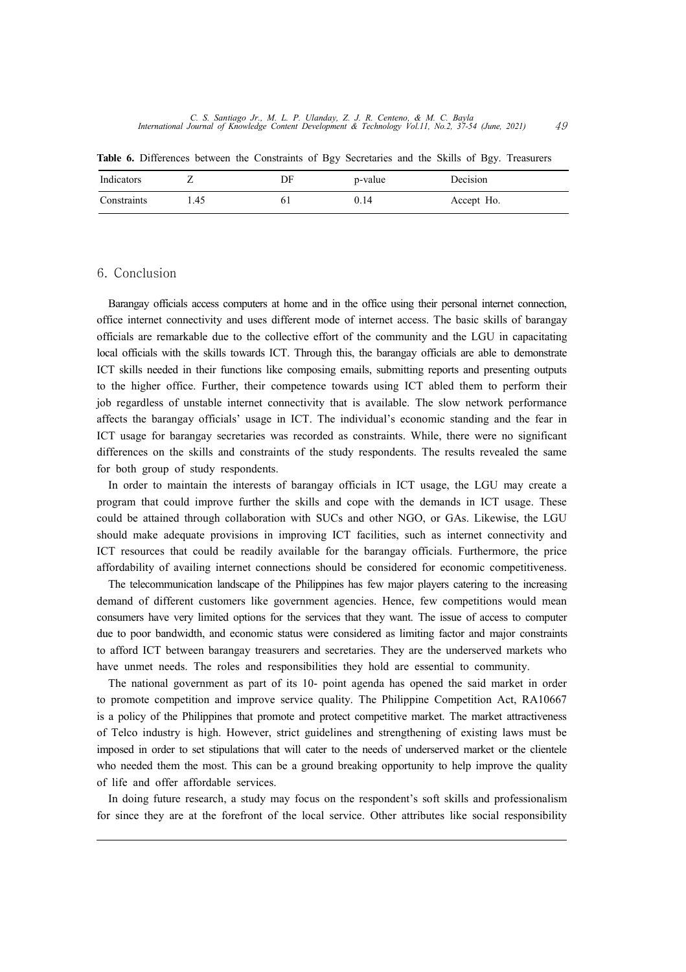**Table 6.** Differences between the Constraints of Bgy Secretaries and the Skills of Bgy. Treasurers

| Indicators  |     | DF | p-value | Decision   |
|-------------|-----|----|---------|------------|
| Constraints | .45 |    | J.14    | Accept Ho. |

#### 6. Conclusion

Barangay officials access computers at home and in the office using their personal internet connection, office internet connectivity and uses different mode of internet access. The basic skills of barangay officials are remarkable due to the collective effort of the community and the LGU in capacitating local officials with the skills towards ICT. Through this, the barangay officials are able to demonstrate ICT skills needed in their functions like composing emails, submitting reports and presenting outputs to the higher office. Further, their competence towards using ICT abled them to perform their job regardless of unstable internet connectivity that is available. The slow network performance affects the barangay officials' usage in ICT. The individual's economic standing and the fear in ICT usage for barangay secretaries was recorded as constraints. While, there were no significant differences on the skills and constraints of the study respondents. The results revealed the same for both group of study respondents.

In order to maintain the interests of barangay officials in ICT usage, the LGU may create a program that could improve further the skills and cope with the demands in ICT usage. These could be attained through collaboration with SUCs and other NGO, or GAs. Likewise, the LGU should make adequate provisions in improving ICT facilities, such as internet connectivity and ICT resources that could be readily available for the barangay officials. Furthermore, the price affordability of availing internet connections should be considered for economic competitiveness.

The telecommunication landscape of the Philippines has few major players catering to the increasing demand of different customers like government agencies. Hence, few competitions would mean consumers have very limited options for the services that they want. The issue of access to computer due to poor bandwidth, and economic status were considered as limiting factor and major constraints to afford ICT between barangay treasurers and secretaries. They are the underserved markets who have unmet needs. The roles and responsibilities they hold are essential to community.

The national government as part of its 10- point agenda has opened the said market in order to promote competition and improve service quality. The Philippine Competition Act, RA10667 is a policy of the Philippines that promote and protect competitive market. The market attractiveness of Telco industry is high. However, strict guidelines and strengthening of existing laws must be imposed in order to set stipulations that will cater to the needs of underserved market or the clientele who needed them the most. This can be a ground breaking opportunity to help improve the quality of life and offer affordable services.

In doing future research, a study may focus on the respondent's soft skills and professionalism for since they are at the forefront of the local service. Other attributes like social responsibility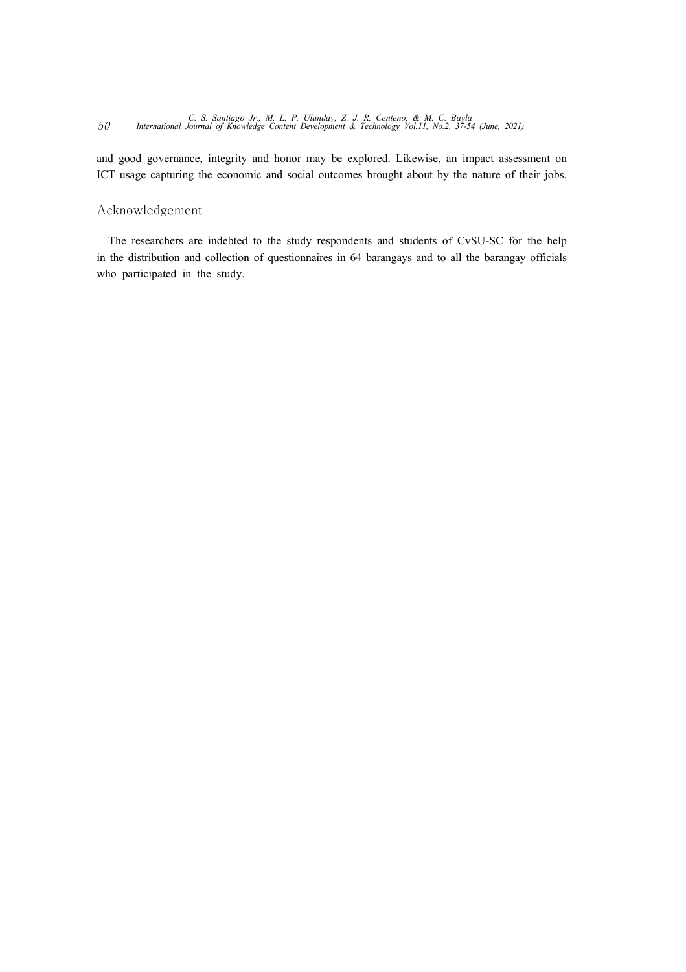*C. S. Santiago Jr., M. L. P. Ulanday, Z. J. R. Centeno, & M. C. Bayla* <sup>50</sup> *International Journal of Knowledge Content Development & Technology Vol.11, No.2, 37-54 (June, 2021)*

and good governance, integrity and honor may be explored. Likewise, an impact assessment on ICT usage capturing the economic and social outcomes brought about by the nature of their jobs.

#### Acknowledgement

The researchers are indebted to the study respondents and students of CvSU-SC for the help in the distribution and collection of questionnaires in 64 barangays and to all the barangay officials who participated in the study.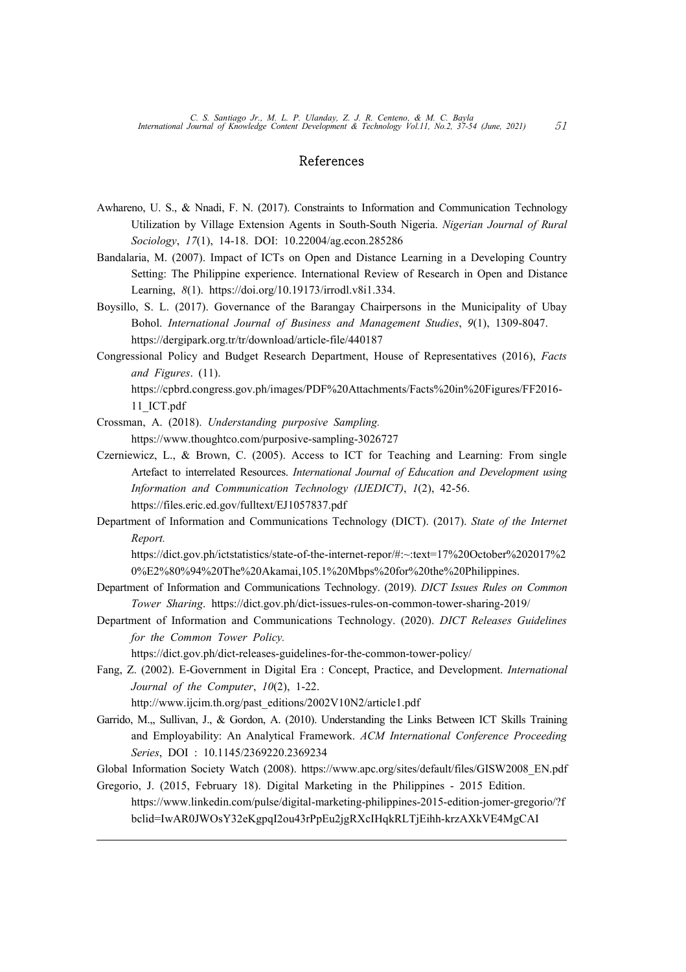#### References

- Awhareno, U. S., & Nnadi, F. N. (2017). Constraints to Information and Communication Technology Utilization by Village Extension Agents in South-South Nigeria. *Nigerian Journal of Rural Sociology*, *17*(1), 14-18. DOI: 10.22004/ag.econ.285286
- Bandalaria, M. (2007). Impact of ICTs on Open and Distance Learning in a Developing Country Setting: The Philippine experience. International Review of Research in Open and Distance Learning, *8*(1). https://doi.org/10.19173/irrodl.v8i1.334.
- Boysillo, S. L. (2017). Governance of the Barangay Chairpersons in the Municipality of Ubay Bohol. *International Journal of Business and Management Studies*, *9*(1), 1309-8047. https://dergipark.org.tr/tr/download/article-file/440187
- Congressional Policy and Budget Research Department, House of Representatives (2016), *Facts and Figures*. (11). https://cpbrd.congress.gov.ph/images/PDF%20Attachments/Facts%20in%20Figures/FF2016-

11\_ICT.pdf

- Crossman, A. (2018). *Understanding purposive Sampling.* https://www.thoughtco.com/purposive-sampling-3026727
- Czerniewicz, L., & Brown, C. (2005). Access to ICT for Teaching and Learning: From single Artefact to interrelated Resources. *International Journal of Education and Development using Information and Communication Technology (IJEDICT)*, *1*(2), 42-56. https://files.eric.ed.gov/fulltext/EJ1057837.pdf
- Department of Information and Communications Technology (DICT). (2017). *State of the Internet Report.*

https://dict.gov.ph/ictstatistics/state-of-the-internet-repor/#:~:text=17%20October%202017%2 0%E2%80%94%20The%20Akamai,105.1%20Mbps%20for%20the%20Philippines.

- Department of Information and Communications Technology. (2019). *DICT Issues Rules on Common Tower Sharing*. https://dict.gov.ph/dict-issues-rules-on-common-tower-sharing-2019/
- Department of Information and Communications Technology. (2020). *DICT Releases Guidelines for the Common Tower Policy.*

https://dict.gov.ph/dict-releases-guidelines-for-the-common-tower-policy/

Fang, Z. (2002). E-Government in Digital Era : Concept, Practice, and Development. *International Journal of the Computer*, *10*(2), 1-22.

http://www.ijcim.th.org/past\_editions/2002V10N2/article1.pdf

Garrido, M.,, Sullivan, J., & Gordon, A. (2010). Understanding the Links Between ICT Skills Training and Employability: An Analytical Framework. *ACM International Conference Proceeding Series*, DOI : 10.1145/2369220.2369234

Global Information Society Watch (2008). https://www.apc.org/sites/default/files/GISW2008\_EN.pdf

Gregorio, J. (2015, February 18). Digital Marketing in the Philippines - 2015 Edition. https://www.linkedin.com/pulse/digital-marketing-philippines-2015-edition-jomer-gregorio/?f bclid=IwAR0JWOsY32eKgpqI2ou43rPpEu2jgRXcIHqkRLTjEihh-krzAXkVE4MgCAI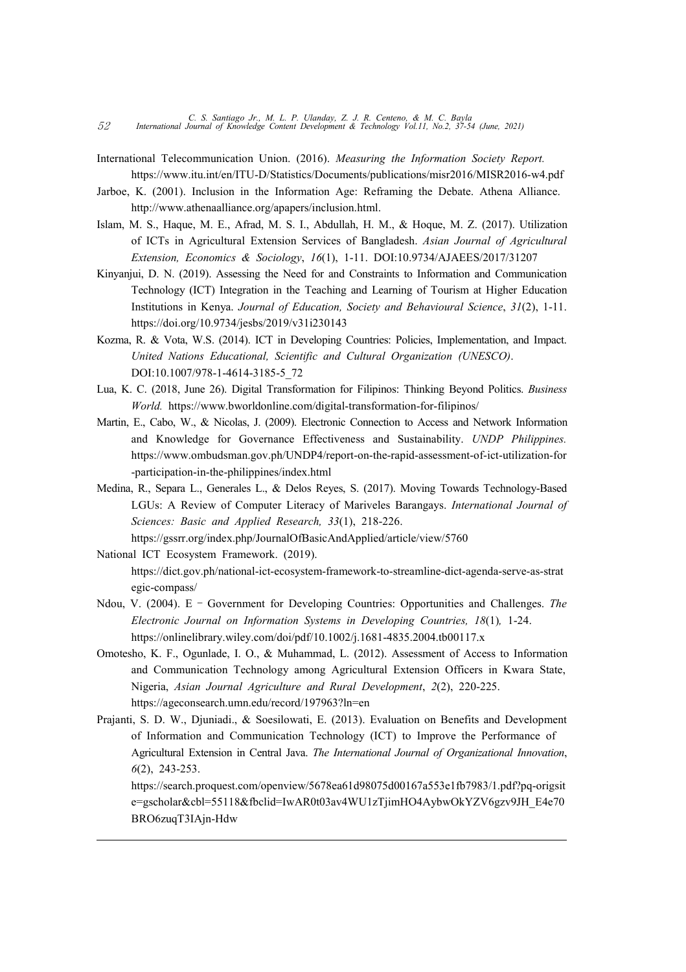- International Telecommunication Union. (2016). *Measuring the Information Society Report.* https://www.itu.int/en/ITU-D/Statistics/Documents/publications/misr2016/MISR2016-w4.pdf
- Jarboe, K. (2001). Inclusion in the Information Age: Reframing the Debate. Athena Alliance. http://www.athenaalliance.org/apapers/inclusion.html.
- Islam, M. S., Haque, M. E., Afrad, M. S. I., Abdullah, H. M., & Hoque, M. Z. (2017). Utilization of ICTs in Agricultural Extension Services of Bangladesh. *Asian Journal of Agricultural Extension, Economics & Sociology*, *16*(1), 1-11. DOI:10.9734/AJAEES/2017/31207
- Kinyanjui, D. N. (2019). Assessing the Need for and Constraints to Information and Communication Technology (ICT) Integration in the Teaching and Learning of Tourism at Higher Education Institutions in Kenya. *Journal of Education, Society and Behavioural Science*, *31*(2), 1-11. https://doi.org/10.9734/jesbs/2019/v31i230143
- Kozma, R. & Vota, W.S. (2014). ICT in Developing Countries: Policies, Implementation, and Impact. *United Nations Educational, Scientific and Cultural Organization (UNESCO)*. DOI:10.1007/978-1-4614-3185-5\_72
- Lua, K. C. (2018, June 26). Digital Transformation for Filipinos: Thinking Beyond Politics. *Business World.* https://www.bworldonline.com/digital-transformation-for-filipinos/
- Martin, E., Cabo, W., & Nicolas, J. (2009). Electronic Connection to Access and Network Information and Knowledge for Governance Effectiveness and Sustainability. *UNDP Philippines.* https://www.ombudsman.gov.ph/UNDP4/report-on-the-rapid-assessment-of-ict-utilization-for -participation-in-the-philippines/index.html
- Medina, R., Separa L., Generales L., & Delos Reyes, S. (2017). Moving Towards Technology-Based LGUs: A Review of Computer Literacy of Mariveles Barangays. *International Journal of Sciences: Basic and Applied Research, 33*(1), 218-226.

https://gssrr.org/index.php/JournalOfBasicAndApplied/article/view/5760

- National ICT Ecosystem Framework. (2019). https://dict.gov.ph/national-ict-ecosystem-framework-to-streamline-dict-agenda-serve-as-strat egic-compass/
- Ndou, V. (2004). E Government for Developing Countries: Opportunities and Challenges. *The Electronic Journal on Information Systems in Developing Countries, 18*(1)*,* 1-24. https://onlinelibrary.wiley.com/doi/pdf/10.1002/j.1681-4835.2004.tb00117.x
- Omotesho, K. F., Ogunlade, I. O., & Muhammad, L. (2012). Assessment of Access to Information and Communication Technology among Agricultural Extension Officers in Kwara State, Nigeria, *Asian Journal Agriculture and Rural Development*, *2*(2), 220-225. https://ageconsearch.umn.edu/record/197963?ln=en
- Prajanti, S. D. W., Djuniadi., & Soesilowati, E. (2013). Evaluation on Benefits and Development of Information and Communication Technology (ICT) to Improve the Performance of Agricultural Extension in Central Java. *The International Journal of Organizational Innovation*, *6*(2), 243-253.

https://search.proquest.com/openview/5678ea61d98075d00167a553e1fb7983/1.pdf?pq-origsit e=gscholar&cbl=55118&fbclid=IwAR0t03av4WU1zTjimHO4AybwOkYZV6gzv9JH\_E4e70 BRO6zuqT3IAjn-Hdw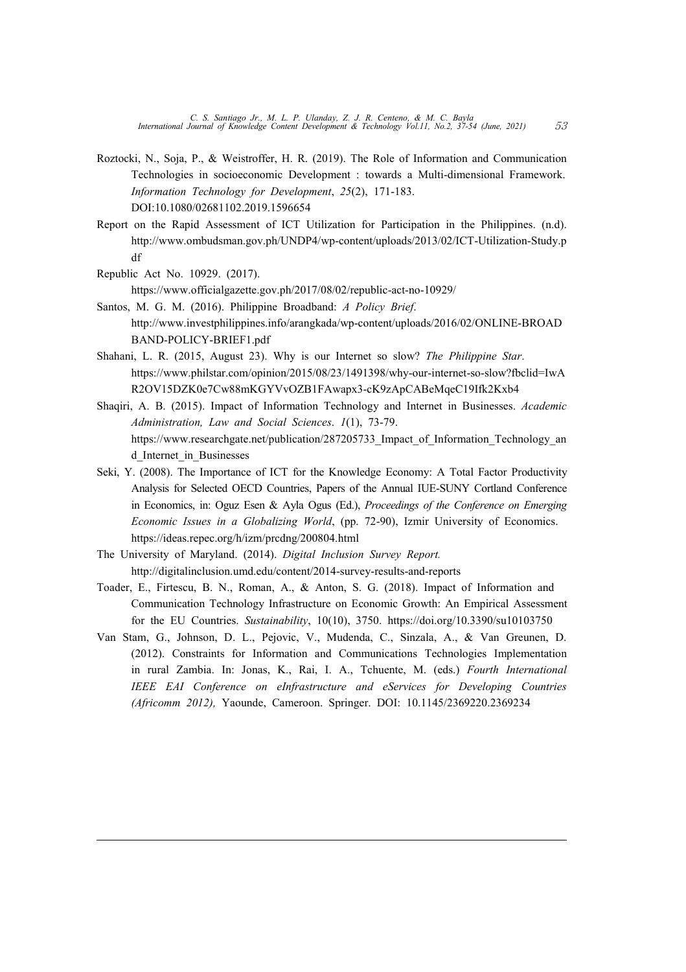- Roztocki, N., Soja, P., & Weistroffer, H. R. (2019). The Role of Information and Communication Technologies in socioeconomic Development : towards a Multi-dimensional Framework. *Information Technology for Development*, *25*(2), 171-183. DOI:10.1080/02681102.2019.1596654
- Report on the Rapid Assessment of ICT Utilization for Participation in the Philippines. (n.d). http://www.ombudsman.gov.ph/UNDP4/wp-content/uploads/2013/02/ICT-Utilization-Study.p df
- Republic Act No. 10929. (2017).

https://www.officialgazette.gov.ph/2017/08/02/republic-act-no-10929/

- Santos, M. G. M. (2016). Philippine Broadband: *A Policy Brief*. http://www.investphilippines.info/arangkada/wp-content/uploads/2016/02/ONLINE-BROAD BAND-POLICY-BRIEF1.pdf
- Shahani, L. R. (2015, August 23). Why is our Internet so slow? *The Philippine Star*. https://www.philstar.com/opinion/2015/08/23/1491398/why-our-internet-so-slow?fbclid=IwA R2OV15DZK0e7Cw88mKGYVvOZB1FAwapx3-cK9zApCABeMqeC19Ifk2Kxb4
- Shaqiri, A. B. (2015). Impact of Information Technology and Internet in Businesses. *Academic Administration, Law and Social Sciences*. *1*(1), 73-79. https://www.researchgate.net/publication/287205733\_Impact\_of\_Information\_Technology\_an d Internet in Businesses
- Seki, Y. (2008). The Importance of ICT for the Knowledge Economy: A Total Factor Productivity Analysis for Selected OECD Countries, Papers of the Annual IUE-SUNY Cortland Conference in Economics, in: Oguz Esen & Ayla Ogus (Ed.), *Proceedings of the Conference on Emerging Economic Issues in a Globalizing World*, (pp. 72-90), Izmir University of Economics. https://ideas.repec.org/h/izm/prcdng/200804.html
- The University of Maryland. (2014). *Digital Inclusion Survey Report.*  http://digitalinclusion.umd.edu/content/2014-survey-results-and-reports
- Toader, E., Firtescu, B. N., Roman, A., & Anton, S. G. (2018). Impact of Information and Communication Technology Infrastructure on Economic Growth: An Empirical Assessment for the EU Countries. *Sustainability*, 10(10), 3750. https://doi.org/10.3390/su10103750
- Van Stam, G., Johnson, D. L., Pejovic, V., Mudenda, C., Sinzala, A., & Van Greunen, D. (2012). Constraints for Information and Communications Technologies Implementation in rural Zambia. In: Jonas, K., Rai, I. A., Tchuente, M. (eds.) *Fourth International IEEE EAI Conference on eInfrastructure and eServices for Developing Countries (Africomm 2012),* Yaounde, Cameroon. Springer. DOI: 10.1145/2369220.2369234